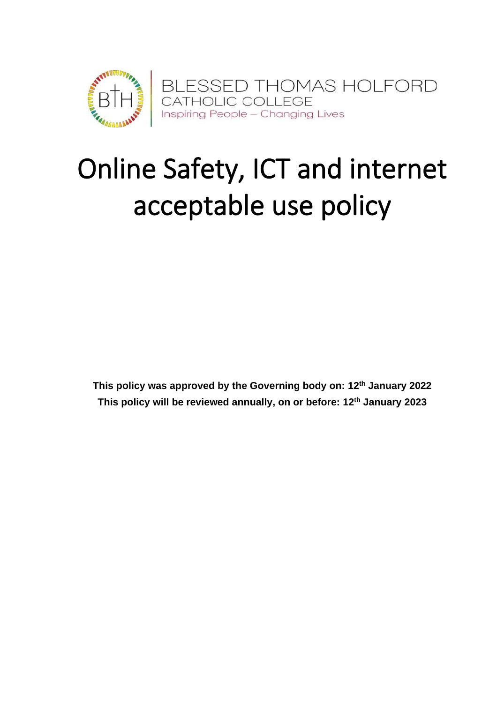

# Online Safety, ICT and internet acceptable use policy

**This policy was approved by the Governing body on: 12th January 2022 This policy will be reviewed annually, on or before: 12th January 2023**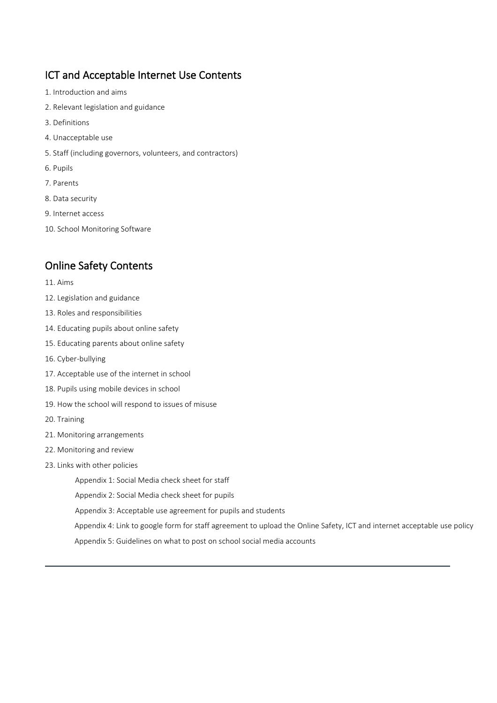# ICT and Acceptable Internet Use Contents

- 1. Introduction and aims
- 2. Relevant legislation and guidance
- 3. Definitions
- 4. Unacceptable use
- 5. Staff (including governors, volunteers, and contractors)
- 6. Pupils
- 7. Parents
- 8. Data security
- 9. Internet access
- 10. School Monitoring Software

# Online Safety Contents

- 11. Aims
- 12. Legislation and guidance
- 13. Roles and responsibilities
- 14. Educating pupils about online safety
- 15. Educating parents about online safety
- 16. Cyber-bullying
- 17. Acceptable use of the internet in school
- 18. Pupils using mobile devices in school
- 19. How the school will respond to issues of misuse
- 20. Training
- 21. Monitoring arrangements
- 22. Monitoring and review
- 23. Links with other policies

Appendix 1: Social Media check sheet for staff

- Appendix 2: Social Media check sheet for pupils
- Appendix 3: Acceptable use agreement for pupils and students

Appendix 4: Link to google form for staff agreement to upload the Online Safety, ICT and internet acceptable use policy

Appendix 5: Guidelines on what to post on school social media accounts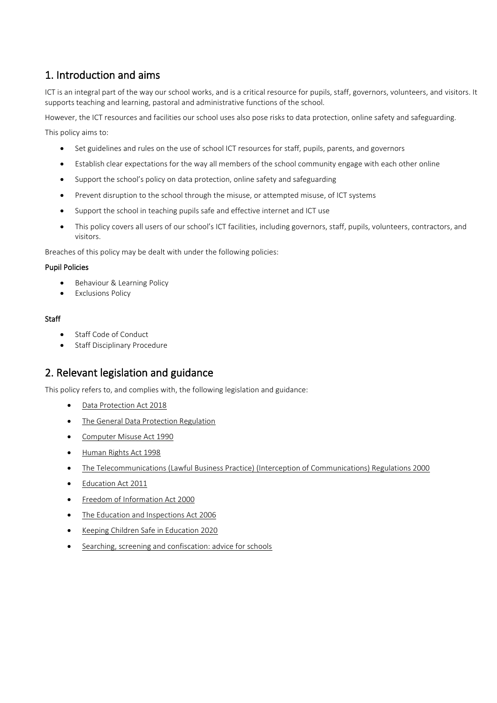# 1. Introduction and aims

ICT is an integral part of the way our school works, and is a critical resource for pupils, staff, governors, volunteers, and visitors. It supports teaching and learning, pastoral and administrative functions of the school.

However, the ICT resources and facilities our school uses also pose risks to data protection, online safety and safeguarding.

This policy aims to:

- Set guidelines and rules on the use of school ICT resources for staff, pupils, parents, and governors
- Establish clear expectations for the way all members of the school community engage with each other online
- Support the school's policy on data protection, online safety and safeguarding
- Prevent disruption to the school through the misuse, or attempted misuse, of ICT systems
- Support the school in teaching pupils safe and effective internet and ICT use
- This policy covers all users of our school's ICT facilities, including governors, staff, pupils, volunteers, contractors, and visitors.

Breaches of this policy may be dealt with under the following policies:

#### Pupil Policies

- Behaviour & Learning Policy
- Exclusions Policy

#### **Staff**

- Staff Code of Conduct
- Staff Disciplinary Procedure

# 2. Relevant legislation and guidance

This policy refers to, and complies with, the following legislation and guidance:

- [Data Protection Act 2018](http://www.legislation.gov.uk/ukpga/2018/12/contents/enacted)
- [The General Data Protection Regulation](https://eur-lex.europa.eu/legal-content/EN/TXT/HTML/?uri=CELEX:32016R0679)
- [Computer Misuse Act 1990](https://www.legislation.gov.uk/ukpga/1990/18/contents)
- [Human Rights Act 1998](https://www.legislation.gov.uk/ukpga/1998/42/contents)
- [The Telecommunications \(Lawful Business Practice\) \(Interception of Communications\) Regulations 2000](https://www.legislation.gov.uk/uksi/2000/2699/regulation/3/made)
- [Education Act 2011](http://www.legislation.gov.uk/ukpga/2011/21/section/2/enacted)
- [Freedom of Information Act 2000](https://www.legislation.gov.uk/ukpga/2000/36/contents)
- [The Education and Inspections Act 2006](https://www.legislation.gov.uk/ukpga/2006/40/part/7/chapter/1)
- [Keeping Children Safe in Education 2020](https://www.gov.uk/government/publications/keeping-children-safe-in-education--2)
- [Searching, screening and confiscation: advice for schools](https://www.gov.uk/government/publications/searching-screening-and-confiscation)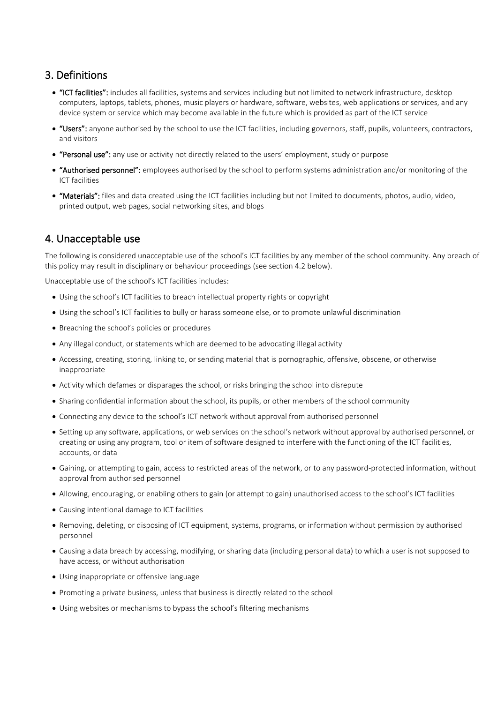# 3. Definitions

- "ICT facilities": includes all facilities, systems and services including but not limited to network infrastructure, desktop computers, laptops, tablets, phones, music players or hardware, software, websites, web applications or services, and any device system or service which may become available in the future which is provided as part of the ICT service
- "Users": anyone authorised by the school to use the ICT facilities, including governors, staff, pupils, volunteers, contractors, and visitors
- "Personal use": any use or activity not directly related to the users' employment, study or purpose
- "Authorised personnel": employees authorised by the school to perform systems administration and/or monitoring of the ICT facilities
- "Materials": files and data created using the ICT facilities including but not limited to documents, photos, audio, video, printed output, web pages, social networking sites, and blogs

# 4. Unacceptable use

The following is considered unacceptable use of the school's ICT facilities by any member of the school community. Any breach of this policy may result in disciplinary or behaviour proceedings (see section 4.2 below).

Unacceptable use of the school's ICT facilities includes:

- Using the school's ICT facilities to breach intellectual property rights or copyright
- Using the school's ICT facilities to bully or harass someone else, or to promote unlawful discrimination
- Breaching the school's policies or procedures
- Any illegal conduct, or statements which are deemed to be advocating illegal activity
- Accessing, creating, storing, linking to, or sending material that is pornographic, offensive, obscene, or otherwise inappropriate
- Activity which defames or disparages the school, or risks bringing the school into disrepute
- Sharing confidential information about the school, its pupils, or other members of the school community
- Connecting any device to the school's ICT network without approval from authorised personnel
- Setting up any software, applications, or web services on the school's network without approval by authorised personnel, or creating or using any program, tool or item of software designed to interfere with the functioning of the ICT facilities, accounts, or data
- Gaining, or attempting to gain, access to restricted areas of the network, or to any password-protected information, without approval from authorised personnel
- Allowing, encouraging, or enabling others to gain (or attempt to gain) unauthorised access to the school's ICT facilities
- Causing intentional damage to ICT facilities
- Removing, deleting, or disposing of ICT equipment, systems, programs, or information without permission by authorised personnel
- Causing a data breach by accessing, modifying, or sharing data (including personal data) to which a user is not supposed to have access, or without authorisation
- Using inappropriate or offensive language
- Promoting a private business, unless that business is directly related to the school
- Using websites or mechanisms to bypass the school's filtering mechanisms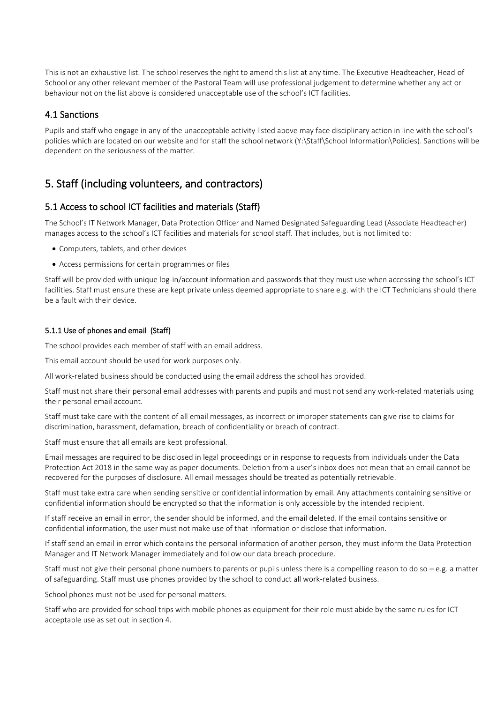This is not an exhaustive list. The school reserves the right to amend this list at any time. The Executive Headteacher, Head of School or any other relevant member of the Pastoral Team will use professional judgement to determine whether any act or behaviour not on the list above is considered unacceptable use of the school's ICT facilities.

## 4.1 Sanctions

Pupils and staff who engage in any of the unacceptable activity listed above may face disciplinary action in line with the school's policies which are located on our website and for staff the school network (Y:\Staff\School Information\Policies). Sanctions will be dependent on the seriousness of the matter.

# 5. Staff (including volunteers, and contractors)

## 5.1 Access to school ICT facilities and materials (Staff)

The School's IT Network Manager, Data Protection Officer and Named Designated Safeguarding Lead (Associate Headteacher) manages access to the school's ICT facilities and materials for school staff. That includes, but is not limited to:

- Computers, tablets, and other devices
- Access permissions for certain programmes or files

Staff will be provided with unique log-in/account information and passwords that they must use when accessing the school's ICT facilities. Staff must ensure these are kept private unless deemed appropriate to share e.g. with the ICT Technicians should there be a fault with their device.

#### 5.1.1 Use of phones and email (Staff)

The school provides each member of staff with an email address.

This email account should be used for work purposes only.

All work-related business should be conducted using the email address the school has provided.

Staff must not share their personal email addresses with parents and pupils and must not send any work-related materials using their personal email account.

Staff must take care with the content of all email messages, as incorrect or improper statements can give rise to claims for discrimination, harassment, defamation, breach of confidentiality or breach of contract.

Staff must ensure that all emails are kept professional.

Email messages are required to be disclosed in legal proceedings or in response to requests from individuals under the Data Protection Act 2018 in the same way as paper documents. Deletion from a user's inbox does not mean that an email cannot be recovered for the purposes of disclosure. All email messages should be treated as potentially retrievable.

Staff must take extra care when sending sensitive or confidential information by email. Any attachments containing sensitive or confidential information should be encrypted so that the information is only accessible by the intended recipient.

If staff receive an email in error, the sender should be informed, and the email deleted. If the email contains sensitive or confidential information, the user must not make use of that information or disclose that information.

If staff send an email in error which contains the personal information of another person, they must inform the Data Protection Manager and IT Network Manager immediately and follow our data breach procedure.

Staff must not give their personal phone numbers to parents or pupils unless there is a compelling reason to do so  $-e.g.$  a matter of safeguarding. Staff must use phones provided by the school to conduct all work-related business.

School phones must not be used for personal matters.

Staff who are provided for school trips with mobile phones as equipment for their role must abide by the same rules for ICT acceptable use as set out in section 4.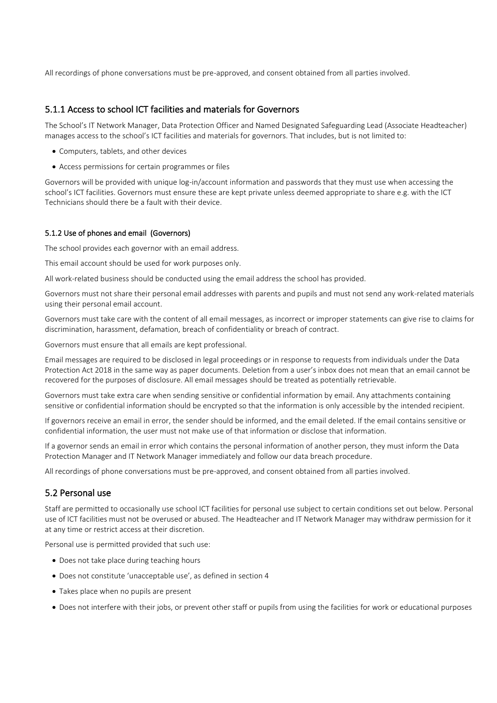All recordings of phone conversations must be pre-approved, and consent obtained from all parties involved.

#### 5.1.1 Access to school ICT facilities and materials for Governors

The School's IT Network Manager, Data Protection Officer and Named Designated Safeguarding Lead (Associate Headteacher) manages access to the school's ICT facilities and materials for governors. That includes, but is not limited to:

- Computers, tablets, and other devices
- Access permissions for certain programmes or files

Governors will be provided with unique log-in/account information and passwords that they must use when accessing the school's ICT facilities. Governors must ensure these are kept private unless deemed appropriate to share e.g. with the ICT Technicians should there be a fault with their device.

#### 5.1.2 Use of phones and email (Governors)

The school provides each governor with an email address.

This email account should be used for work purposes only.

All work-related business should be conducted using the email address the school has provided.

Governors must not share their personal email addresses with parents and pupils and must not send any work-related materials using their personal email account.

Governors must take care with the content of all email messages, as incorrect or improper statements can give rise to claims for discrimination, harassment, defamation, breach of confidentiality or breach of contract.

Governors must ensure that all emails are kept professional.

Email messages are required to be disclosed in legal proceedings or in response to requests from individuals under the Data Protection Act 2018 in the same way as paper documents. Deletion from a user's inbox does not mean that an email cannot be recovered for the purposes of disclosure. All email messages should be treated as potentially retrievable.

Governors must take extra care when sending sensitive or confidential information by email. Any attachments containing sensitive or confidential information should be encrypted so that the information is only accessible by the intended recipient.

If governors receive an email in error, the sender should be informed, and the email deleted. If the email contains sensitive or confidential information, the user must not make use of that information or disclose that information.

If a governor sends an email in error which contains the personal information of another person, they must inform the Data Protection Manager and IT Network Manager immediately and follow our data breach procedure.

All recordings of phone conversations must be pre-approved, and consent obtained from all parties involved.

#### 5.2 Personal use

Staff are permitted to occasionally use school ICT facilities for personal use subject to certain conditions set out below. Personal use of ICT facilities must not be overused or abused. The Headteacher and IT Network Manager may withdraw permission for it at any time or restrict access at their discretion.

Personal use is permitted provided that such use:

- Does not take place during teaching hours
- Does not constitute 'unacceptable use', as defined in section 4
- Takes place when no pupils are present
- Does not interfere with their jobs, or prevent other staff or pupils from using the facilities for work or educational purposes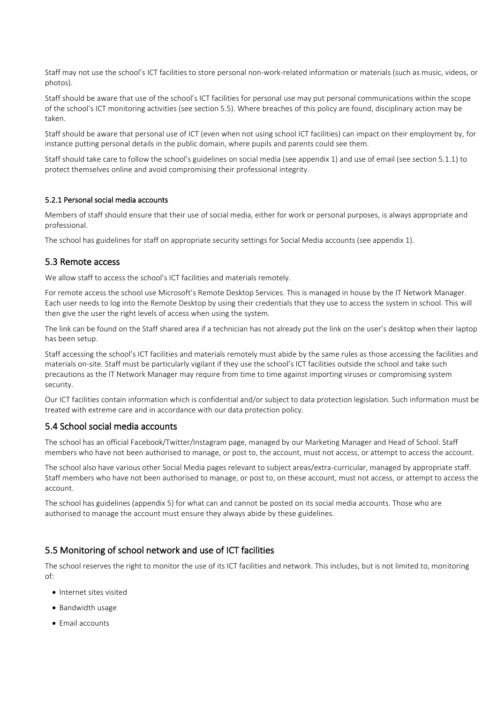Staff may not use the school's ICT facilities to store personal non-work-related information or materials (such as music, videos, or photos).

Staff should be aware that use of the school's ICT facilities for personal use may put personal communications within the scope of the school's ICT monitoring activities (see section 5.5). Where breaches of this policy are found, disciplinary action may be taken.

Staff should be aware that personal use of ICT (even when not using school ICT facilities) can impact on their employment by, for instance putting personal details in the public domain, where pupils and parents could see them.

Staff should take care to follow the school's guidelines on social media (see appendix 1) and use of email (see section 5.1.1) to protect themselves online and avoid compromising their professional integrity.

#### 5.2.1 Personal social media accounts

Members of staff should ensure that their use of social media, either for work or personal purposes, is always appropriate and professional.

The school has guidelines for staff on appropriate security settings for Social Media accounts (see appendix 1).

#### 5.3 Remote access

We allow staff to access the school's ICT facilities and materials remotely.

For remote access the school use Microsoft's Remote Desktop Services. This is managed in house by the IT Network Manager. Each user needs to log into the Remote Desktop by using their credentials that they use to access the system in school. This will then give the user the right levels of access when using the system.

The link can be found on the Staff shared area if a technician has not already put the link on the user's desktop when their laptop has been setup.

Staff accessing the school's ICT facilities and materials remotely must abide by the same rules as those accessing the facilities and materials on-site. Staff must be particularly vigilant if they use the school's ICT facilities outside the school and take such precautions as the IT Network Manager may require from time to time against importing viruses or compromising system security.

Our ICT facilities contain information which is confidential and/or subject to data protection legislation. Such information must be treated with extreme care and in accordance with our data protection policy.

#### 5.4 School social media accounts

The school has an official Facebook/Twitter/Instagram page, managed by our Marketing Manager and Head of School. Staff members who have not been authorised to manage, or post to, the account, must not access, or attempt to access the account.

The school also have various other Social Media pages relevant to subject areas/extra-curricular, managed by appropriate staff. Staff members who have not been authorised to manage, or post to, on these account, must not access, or attempt to access the account.

The school has guidelines (appendix 5) for what can and cannot be posted on its social media accounts. Those who are authorised to manage the account must ensure they always abide by these guidelines.

#### 5.5 Monitoring of school network and use of ICT facilities

The school reserves the right to monitor the use of its ICT facilities and network. This includes, but is not limited to, monitoring of:

- Internet sites visited
- Bandwidth usage
- Email accounts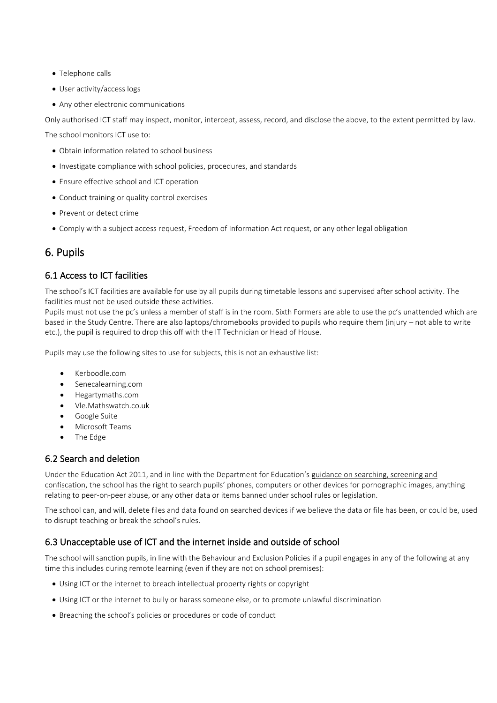- Telephone calls
- User activity/access logs
- Any other electronic communications

Only authorised ICT staff may inspect, monitor, intercept, assess, record, and disclose the above, to the extent permitted by law.

The school monitors ICT use to:

- Obtain information related to school business
- Investigate compliance with school policies, procedures, and standards
- Ensure effective school and ICT operation
- Conduct training or quality control exercises
- Prevent or detect crime
- Comply with a subject access request, Freedom of Information Act request, or any other legal obligation

# 6. Pupils

## 6.1 Access to ICT facilities

The school's ICT facilities are available for use by all pupils during timetable lessons and supervised after school activity. The facilities must not be used outside these activities.

Pupils must not use the pc's unless a member of staff is in the room. Sixth Formers are able to use the pc's unattended which are based in the Study Centre. There are also laptops/chromebooks provided to pupils who require them (injury – not able to write etc.), the pupil is required to drop this off with the IT Technician or Head of House.

Pupils may use the following sites to use for subjects, this is not an exhaustive list:

- Kerboodle.com
- Senecalearning.com
- Hegartymaths.com
- Vle.Mathswatch.co.uk
- Google Suite
- Microsoft Teams
- The Edge

## 6.2 Search and deletion

Under the Education Act 2011, and in line with the Department for Education's [guidance on searching, screening and](https://www.gov.uk/government/publications/searching-screening-and-confiscation)  [confiscation,](https://www.gov.uk/government/publications/searching-screening-and-confiscation) the school has the right to search pupils' phones, computers or other devices for pornographic images, anything relating to peer-on-peer abuse, or any other data or items banned under school rules or legislation.

The school can, and will, delete files and data found on searched devices if we believe the data or file has been, or could be, used to disrupt teaching or break the school's rules.

## 6.3 Unacceptable use of ICT and the internet inside and outside of school

The school will sanction pupils, in line with the Behaviour and Exclusion Policies if a pupil engages in any of the following at any time this includes during remote learning (even if they are not on school premises):

- Using ICT or the internet to breach intellectual property rights or copyright
- Using ICT or the internet to bully or harass someone else, or to promote unlawful discrimination
- Breaching the school's policies or procedures or code of conduct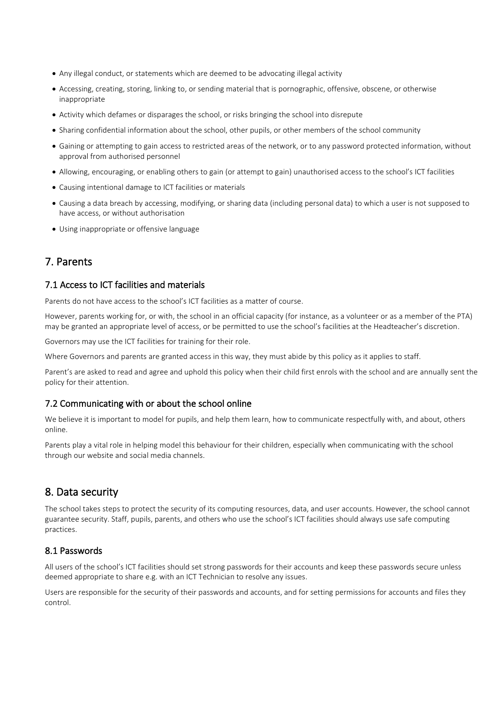- Any illegal conduct, or statements which are deemed to be advocating illegal activity
- Accessing, creating, storing, linking to, or sending material that is pornographic, offensive, obscene, or otherwise inappropriate
- Activity which defames or disparages the school, or risks bringing the school into disrepute
- Sharing confidential information about the school, other pupils, or other members of the school community
- Gaining or attempting to gain access to restricted areas of the network, or to any password protected information, without approval from authorised personnel
- Allowing, encouraging, or enabling others to gain (or attempt to gain) unauthorised access to the school's ICT facilities
- Causing intentional damage to ICT facilities or materials
- Causing a data breach by accessing, modifying, or sharing data (including personal data) to which a user is not supposed to have access, or without authorisation
- Using inappropriate or offensive language

# 7. Parents

#### 7.1 Access to ICT facilities and materials

Parents do not have access to the school's ICT facilities as a matter of course.

However, parents working for, or with, the school in an official capacity (for instance, as a volunteer or as a member of the PTA) may be granted an appropriate level of access, or be permitted to use the school's facilities at the Headteacher's discretion.

Governors may use the ICT facilities for training for their role.

Where Governors and parents are granted access in this way, they must abide by this policy as it applies to staff.

Parent's are asked to read and agree and uphold this policy when their child first enrols with the school and are annually sent the policy for their attention.

#### 7.2 Communicating with or about the school online

We believe it is important to model for pupils, and help them learn, how to communicate respectfully with, and about, others online.

Parents play a vital role in helping model this behaviour for their children, especially when communicating with the school through our website and social media channels.

# 8. Data security

The school takes steps to protect the security of its computing resources, data, and user accounts. However, the school cannot guarantee security. Staff, pupils, parents, and others who use the school's ICT facilities should always use safe computing practices.

#### 8.1 Passwords

All users of the school's ICT facilities should set strong passwords for their accounts and keep these passwords secure unless deemed appropriate to share e.g. with an ICT Technician to resolve any issues.

Users are responsible for the security of their passwords and accounts, and for setting permissions for accounts and files they control.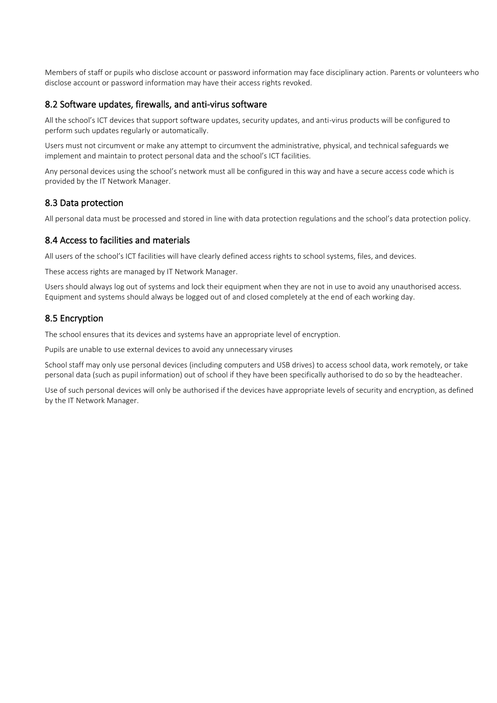Members of staff or pupils who disclose account or password information may face disciplinary action. Parents or volunteers who disclose account or password information may have their access rights revoked.

#### 8.2 Software updates, firewalls, and anti-virus software

All the school's ICT devices that support software updates, security updates, and anti-virus products will be configured to perform such updates regularly or automatically.

Users must not circumvent or make any attempt to circumvent the administrative, physical, and technical safeguards we implement and maintain to protect personal data and the school's ICT facilities.

Any personal devices using the school's network must all be configured in this way and have a secure access code which is provided by the IT Network Manager.

#### 8.3 Data protection

All personal data must be processed and stored in line with data protection regulations and the school's data protection policy.

#### 8.4 Access to facilities and materials

All users of the school's ICT facilities will have clearly defined access rights to school systems, files, and devices.

These access rights are managed by IT Network Manager.

Users should always log out of systems and lock their equipment when they are not in use to avoid any unauthorised access. Equipment and systems should always be logged out of and closed completely at the end of each working day.

## 8.5 Encryption

The school ensures that its devices and systems have an appropriate level of encryption.

Pupils are unable to use external devices to avoid any unnecessary viruses

School staff may only use personal devices (including computers and USB drives) to access school data, work remotely, or take personal data (such as pupil information) out of school if they have been specifically authorised to do so by the headteacher.

Use of such personal devices will only be authorised if the devices have appropriate levels of security and encryption, as defined by the IT Network Manager.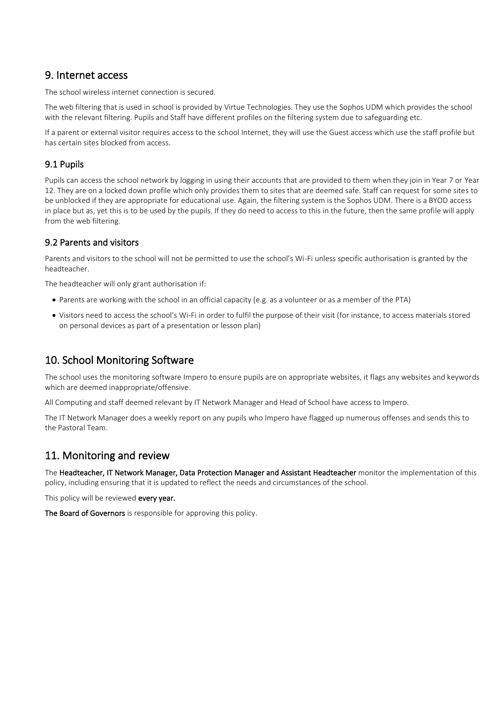# 9. Internet access

The school wireless internet connection is secured.

The web filtering that is used in school is provided by Virtue Technologies. They use the Sophos UDM which provides the school with the relevant filtering. Pupils and Staff have different profiles on the filtering system due to safeguarding etc.

If a parent or external visitor requires access to the school Internet, they will use the Guest access which use the staff profile but has certain sites blocked from access.

## 9.1 Pupils

Pupils can access the school network by logging in using their accounts that are provided to them when they join in Year 7 or Year 12. They are on a locked down profile which only provides them to sites that are deemed safe. Staff can request for some sites to be unblocked if they are appropriate for educational use. Again, the filtering system is the Sophos UDM. There is a BYOD access in place but as, yet this is to be used by the pupils. If they do need to access to this in the future, then the same profile will apply from the web filtering.

## 9.2 Parents and visitors

Parents and visitors to the school will not be permitted to use the school's Wi-Fi unless specific authorisation is granted by the headteacher.

The headteacher will only grant authorisation if:

- Parents are working with the school in an official capacity (e.g. as a volunteer or as a member of the PTA)
- Visitors need to access the school's Wi-Fi in order to fulfil the purpose of their visit (for instance, to access materials stored on personal devices as part of a presentation or lesson plan)

# 10. School Monitoring Software

The school uses the monitoring software Impero to ensure pupils are on appropriate websites, it flags any websites and keywords which are deemed inappropriate/offensive.

All Computing and staff deemed relevant by IT Network Manager and Head of School have access to Impero.

The IT Network Manager does a weekly report on any pupils who Impero have flagged up numerous offenses and sends this to the Pastoral Team.

# 11. Monitoring and review

The Headteacher, IT Network Manager, Data Protection Manager and Assistant Headteacher monitor the implementation of this policy, including ensuring that it is updated to reflect the needs and circumstances of the school.

This policy will be reviewed every year.

The Board of Governors is responsible for approving this policy.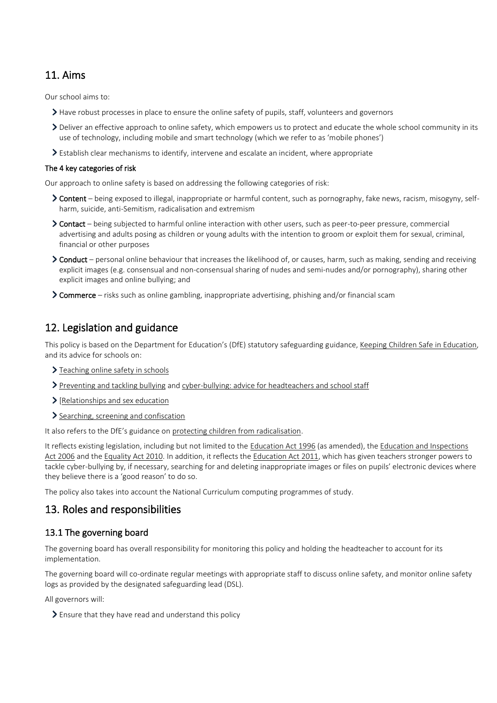# 11. Aims

Our school aims to:

- Have robust processes in place to ensure the online safety of pupils, staff, volunteers and governors
- > Deliver an effective approach to online safety, which empowers us to protect and educate the whole school community in its use of technology, including mobile and smart technology (which we refer to as 'mobile phones')
- Establish clear mechanisms to identify, intervene and escalate an incident, where appropriate

#### The 4 key categories of risk

Our approach to online safety is based on addressing the following categories of risk:

- Content being exposed to illegal, inappropriate or harmful content, such as pornography, fake news, racism, misogyny, selfharm, suicide, anti-Semitism, radicalisation and extremism
- Contact being subjected to harmful online interaction with other users, such as peer-to-peer pressure, commercial advertising and adults posing as children or young adults with the intention to groom or exploit them for sexual, criminal, financial or other purposes
- ▶ Conduct personal online behaviour that increases the likelihood of, or causes, harm, such as making, sending and receiving explicit images (e.g. consensual and non-consensual sharing of nudes and semi-nudes and/or pornography), sharing other explicit images and online bullying; and
- Commerce risks such as online gambling, inappropriate advertising, phishing and/or financial scam

# 12. Legislation and guidance

This policy is based on the Department for Education's (DfE) statutory safeguarding guidance, [Keeping Children Safe in Education,](https://www.gov.uk/government/publications/keeping-children-safe-in-education--2) and its advice for schools on:

- > [Teaching online safety in schools](https://www.gov.uk/government/publications/teaching-online-safety-in-schools)
- > [Preventing and tackling bullying](https://www.gov.uk/government/publications/preventing-and-tackling-bullying) and [cyber-bullying: advice for headteachers and school staff](https://www.gov.uk/government/publications/preventing-and-tackling-bullying)
- $\sum$  [\[Relationships and sex education](https://www.gov.uk/government/publications/relationships-education-relationships-and-sex-education-rse-and-health-education)
- > [Searching, screening and confiscation](https://www.gov.uk/government/publications/searching-screening-and-confiscation)

It also refers to the DfE's guidance on [protecting children from radicalisation.](https://www.gov.uk/government/publications/protecting-children-from-radicalisation-the-prevent-duty)

It reflects existing legislation, including but not limited to th[e Education Act 1996](https://www.legislation.gov.uk/ukpga/1996/56/contents) (as amended), the Education and Inspections [Act 2006](https://www.legislation.gov.uk/ukpga/2006/40/contents) and the [Equality Act 2010.](https://www.legislation.gov.uk/ukpga/2010/15/contents) In addition, it reflects the [Education Act 2011,](http://www.legislation.gov.uk/ukpga/2011/21/contents/enacted) which has given teachers stronger powers to tackle cyber-bullying by, if necessary, searching for and deleting inappropriate images or files on pupils' electronic devices where they believe there is a 'good reason' to do so.

The policy also takes into account the National Curriculum computing programmes of study.

# 13. Roles and responsibilities

## 13.1 The governing board

The governing board has overall responsibility for monitoring this policy and holding the headteacher to account for its implementation.

The governing board will co-ordinate regular meetings with appropriate staff to discuss online safety, and monitor online safety logs as provided by the designated safeguarding lead (DSL).

All governors will:

 $\blacktriangleright$  Ensure that they have read and understand this policy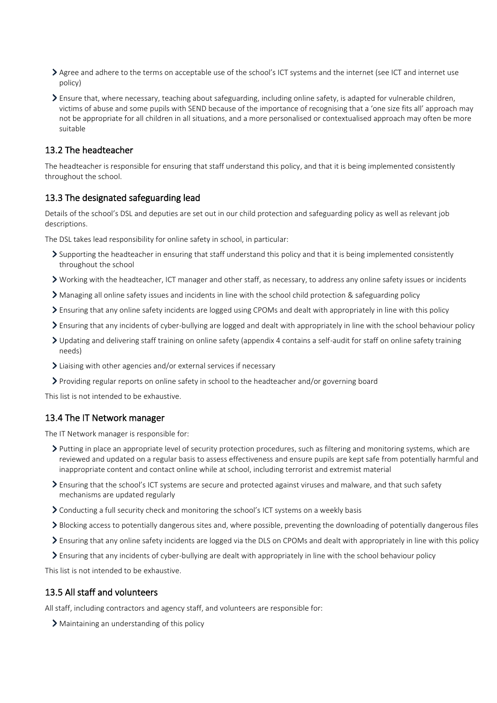- Agree and adhere to the terms on acceptable use of the school's ICT systems and the internet (see ICT and internet use policy)
- Ensure that, where necessary, teaching about safeguarding, including online safety, is adapted for vulnerable children, victims of abuse and some pupils with SEND because of the importance of recognising that a 'one size fits all' approach may not be appropriate for all children in all situations, and a more personalised or contextualised approach may often be more suitable

#### 13.2 The headteacher

The headteacher is responsible for ensuring that staff understand this policy, and that it is being implemented consistently throughout the school.

#### 13.3 The designated safeguarding lead

Details of the school's DSL and deputies are set out in our child protection and safeguarding policy as well as relevant job descriptions.

The DSL takes lead responsibility for online safety in school, in particular:

- $\triangleright$  Supporting the headteacher in ensuring that staff understand this policy and that it is being implemented consistently throughout the school
- Working with the headteacher, ICT manager and other staff, as necessary, to address any online safety issues or incidents
- Managing all online safety issues and incidents in line with the school child protection & safeguarding policy
- Ensuring that any online safety incidents are logged using CPOMs and dealt with appropriately in line with this policy
- Ensuring that any incidents of cyber-bullying are logged and dealt with appropriately in line with the school behaviour policy
- Updating and delivering staff training on online safety (appendix 4 contains a self-audit for staff on online safety training needs)
- Liaising with other agencies and/or external services if necessary
- Providing regular reports on online safety in school to the headteacher and/or governing board

This list is not intended to be exhaustive.

#### 13.4 The IT Network manager

The IT Network manager is responsible for:

- Putting in place an appropriate level of security protection procedures, such as filtering and monitoring systems, which are reviewed and updated on a regular basis to assess effectiveness and ensure pupils are kept safe from potentially harmful and inappropriate content and contact online while at school, including terrorist and extremist material
- Ensuring that the school's ICT systems are secure and protected against viruses and malware, and that such safety mechanisms are updated regularly
- Conducting a full security check and monitoring the school's ICT systems on a weekly basis
- Blocking access to potentially dangerous sites and, where possible, preventing the downloading of potentially dangerous files
- Ensuring that any online safety incidents are logged via the DLS on CPOMs and dealt with appropriately in line with this policy
- Ensuring that any incidents of cyber-bullying are dealt with appropriately in line with the school behaviour policy

This list is not intended to be exhaustive.

#### 13.5 All staff and volunteers

All staff, including contractors and agency staff, and volunteers are responsible for:

Maintaining an understanding of this policy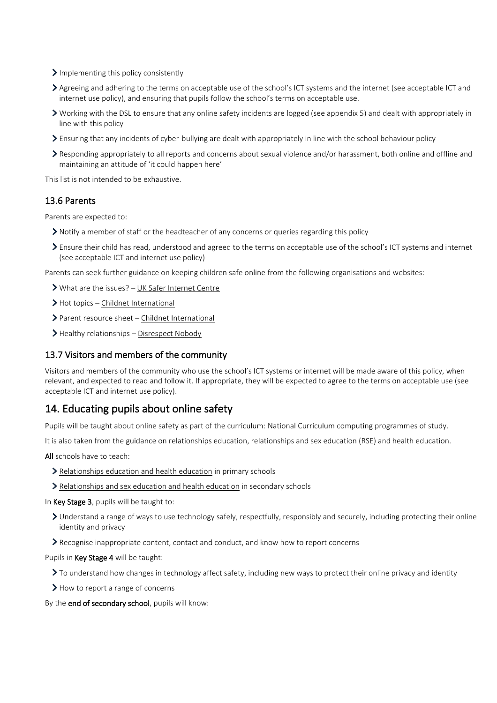- Implementing this policy consistently
- Agreeing and adhering to the terms on acceptable use of the school's ICT systems and the internet (see acceptable ICT and internet use policy), and ensuring that pupils follow the school's terms on acceptable use.
- Working with the DSL to ensure that any online safety incidents are logged (see appendix 5) and dealt with appropriately in line with this policy
- Ensuring that any incidents of cyber-bullying are dealt with appropriately in line with the school behaviour policy
- $\sum$  Responding appropriately to all reports and concerns about sexual violence and/or harassment, both online and offline and maintaining an attitude of 'it could happen here'

This list is not intended to be exhaustive.

#### 13.6 Parents

Parents are expected to:

- Notify a member of staff or the headteacher of any concerns or queries regarding this policy
- Ensure their child has read, understood and agreed to the terms on acceptable use of the school's ICT systems and internet (see acceptable ICT and internet use policy)

Parents can seek further guidance on keeping children safe online from the following organisations and websites:

- What are the issues? [UK Safer Internet Centre](https://www.saferinternet.org.uk/advice-centre/parents-and-carers/what-are-issues)
- > Hot topics [Childnet International](http://www.childnet.com/parents-and-carers/hot-topics)
- Parent resource sheet [Childnet International](https://www.childnet.com/resources/parents-and-carers-resource-sheet)
- > Healthy relationships [Disrespect Nobody](https://www.disrespectnobody.co.uk/)

#### 13.7 Visitors and members of the community

Visitors and members of the community who use the school's ICT systems or internet will be made aware of this policy, when relevant, and expected to read and follow it. If appropriate, they will be expected to agree to the terms on acceptable use (see acceptable ICT and internet use policy).

# 14. Educating pupils about online safety

Pupils will be taught about online safety as part of the curriculum: [National Curriculum computing programmes of study.](https://www.gov.uk/government/publications/national-curriculum-in-england-computing-programmes-of-study/national-curriculum-in-england-computing-programmes-of-study)

It is also taken from th[e guidance on relationships education, relationships and sex education \(RSE\) and health education.](https://www.gov.uk/government/publications/relationships-education-relationships-and-sex-education-rse-and-health-education)

All schools have to teach:

- [Relationships education and health education](https://schoolleaders.thekeysupport.com/uid/8b76f587-7bf6-4994-abf0-43850c6e8d73/) in primary schools
- > [Relationships and sex education and health education](https://schoolleaders.thekeysupport.com/uid/66a1d83e-2fb9-411e-91f1-fe52a09d16d1/) in secondary schools
- In Key Stage 3, pupils will be taught to:
	- Understand a range of ways to use technology safely, respectfully, responsibly and securely, including protecting their online identity and privacy
	- Recognise inappropriate content, contact and conduct, and know how to report concerns

Pupils in Key Stage 4 will be taught:

- $\sum$  To understand how changes in technology affect safety, including new ways to protect their online privacy and identity
- > How to report a range of concerns

By the end of secondary school, pupils will know: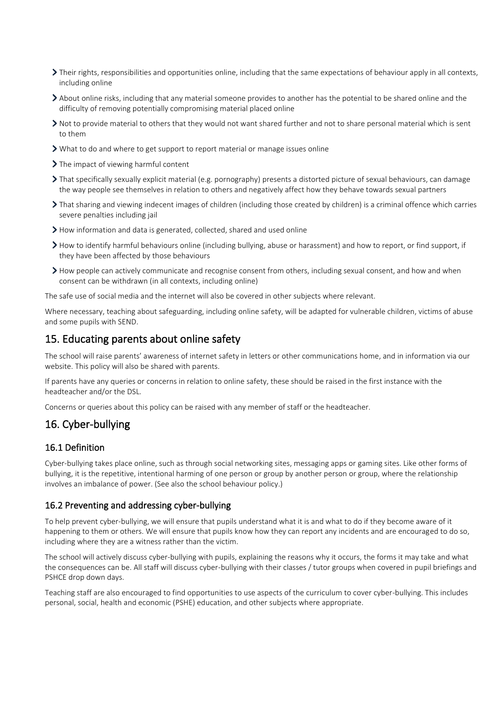- Their rights, responsibilities and opportunities online, including that the same expectations of behaviour apply in all contexts, including online
- About online risks, including that any material someone provides to another has the potential to be shared online and the difficulty of removing potentially compromising material placed online
- Not to provide material to others that they would not want shared further and not to share personal material which is sent to them
- What to do and where to get support to report material or manage issues online
- > The impact of viewing harmful content
- That specifically sexually explicit material (e.g. pornography) presents a distorted picture of sexual behaviours, can damage the way people see themselves in relation to others and negatively affect how they behave towards sexual partners
- That sharing and viewing indecent images of children (including those created by children) is a criminal offence which carries severe penalties including jail
- How information and data is generated, collected, shared and used online
- How to identify harmful behaviours online (including bullying, abuse or harassment) and how to report, or find support, if they have been affected by those behaviours
- How people can actively communicate and recognise consent from others, including sexual consent, and how and when consent can be withdrawn (in all contexts, including online)

The safe use of social media and the internet will also be covered in other subjects where relevant.

Where necessary, teaching about safeguarding, including online safety, will be adapted for vulnerable children, victims of abuse and some pupils with SEND.

## 15. Educating parents about online safety

The school will raise parents' awareness of internet safety in letters or other communications home, and in information via our website. This policy will also be shared with parents.

If parents have any queries or concerns in relation to online safety, these should be raised in the first instance with the headteacher and/or the DSL.

Concerns or queries about this policy can be raised with any member of staff or the headteacher.

## 16. Cyber-bullying

#### 16.1 Definition

Cyber-bullying takes place online, such as through social networking sites, messaging apps or gaming sites. Like other forms of bullying, it is the repetitive, intentional harming of one person or group by another person or group, where the relationship involves an imbalance of power. (See also the school behaviour policy.)

#### 16.2 Preventing and addressing cyber-bullying

To help prevent cyber-bullying, we will ensure that pupils understand what it is and what to do if they become aware of it happening to them or others. We will ensure that pupils know how they can report any incidents and are encouraged to do so, including where they are a witness rather than the victim.

The school will actively discuss cyber-bullying with pupils, explaining the reasons why it occurs, the forms it may take and what the consequences can be. All staff will discuss cyber-bullying with their classes / tutor groups when covered in pupil briefings and PSHCE drop down days.

Teaching staff are also encouraged to find opportunities to use aspects of the curriculum to cover cyber-bullying. This includes personal, social, health and economic (PSHE) education, and other subjects where appropriate.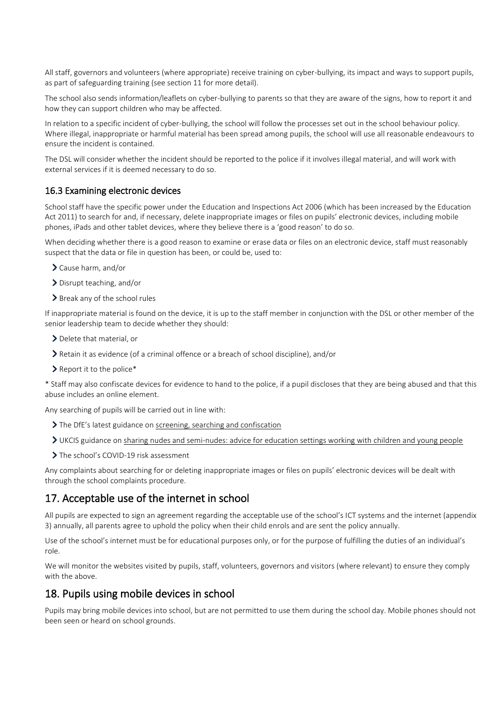All staff, governors and volunteers (where appropriate) receive training on cyber-bullying, its impact and ways to support pupils, as part of safeguarding training (see section 11 for more detail).

The school also sends information/leaflets on cyber-bullying to parents so that they are aware of the signs, how to report it and how they can support children who may be affected.

In relation to a specific incident of cyber-bullying, the school will follow the processes set out in the school behaviour policy. Where illegal, inappropriate or harmful material has been spread among pupils, the school will use all reasonable endeavours to ensure the incident is contained.

The DSL will consider whether the incident should be reported to the police if it involves illegal material, and will work with external services if it is deemed necessary to do so.

#### 16.3 Examining electronic devices

School staff have the specific power under the Education and Inspections Act 2006 (which has been increased by the Education Act 2011) to search for and, if necessary, delete inappropriate images or files on pupils' electronic devices, including mobile phones, iPads and other tablet devices, where they believe there is a 'good reason' to do so.

When deciding whether there is a good reason to examine or erase data or files on an electronic device, staff must reasonably suspect that the data or file in question has been, or could be, used to:

- Cause harm, and/or
- Disrupt teaching, and/or
- > Break any of the school rules

If inappropriate material is found on the device, it is up to the staff member in conjunction with the DSL or other member of the senior leadership team to decide whether they should:

- > Delete that material, or
- Retain it as evidence (of a criminal offence or a breach of school discipline), and/or
- > Report it to the police\*

\* Staff may also confiscate devices for evidence to hand to the police, if a pupil discloses that they are being abused and that this abuse includes an online element.

Any searching of pupils will be carried out in line with:

- > The DfE's latest guidance on [screening, searching and confiscation](https://www.gov.uk/government/publications/searching-screening-and-confiscation)
- UKCIS guidance on [sharing nudes and semi-nudes: advice for education settings working with children and young people](https://www.gov.uk/government/publications/sharing-nudes-and-semi-nudes-advice-for-education-settings-working-with-children-and-young-people)
- > The school's COVID-19 risk assessment

Any complaints about searching for or deleting inappropriate images or files on pupils' electronic devices will be dealt with through the school complaints procedure.

# 17. Acceptable use of the internet in school

All pupils are expected to sign an agreement regarding the acceptable use of the school's ICT systems and the internet (appendix 3) annually, all parents agree to uphold the policy when their child enrols and are sent the policy annually.

Use of the school's internet must be for educational purposes only, or for the purpose of fulfilling the duties of an individual's role.

We will monitor the websites visited by pupils, staff, volunteers, governors and visitors (where relevant) to ensure they comply with the above.

# 18. Pupils using mobile devices in school

Pupils may bring mobile devices into school, but are not permitted to use them during the school day. Mobile phones should not been seen or heard on school grounds.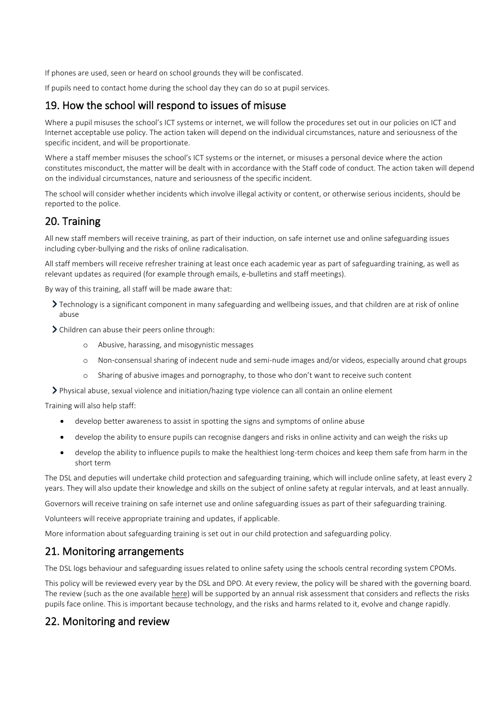If phones are used, seen or heard on school grounds they will be confiscated.

If pupils need to contact home during the school day they can do so at pupil services.

# 19. How the school will respond to issues of misuse

Where a pupil misuses the school's ICT systems or internet, we will follow the procedures set out in our policies on ICT and Internet acceptable use policy. The action taken will depend on the individual circumstances, nature and seriousness of the specific incident, and will be proportionate.

Where a staff member misuses the school's ICT systems or the internet, or misuses a personal device where the action constitutes misconduct, the matter will be dealt with in accordance with the Staff code of conduct. The action taken will depend on the individual circumstances, nature and seriousness of the specific incident.

The school will consider whether incidents which involve illegal activity or content, or otherwise serious incidents, should be reported to the police.

# 20. Training

All new staff members will receive training, as part of their induction, on safe internet use and online safeguarding issues including cyber-bullying and the risks of online radicalisation.

All staff members will receive refresher training at least once each academic year as part of safeguarding training, as well as relevant updates as required (for example through emails, e-bulletins and staff meetings).

By way of this training, all staff will be made aware that:

- Technology is a significant component in many safeguarding and wellbeing issues, and that children are at risk of online abuse
- Children can abuse their peers online through:
	- o Abusive, harassing, and misogynistic messages
	- o Non-consensual sharing of indecent nude and semi-nude images and/or videos, especially around chat groups
	- o Sharing of abusive images and pornography, to those who don't want to receive such content
- Physical abuse, sexual violence and initiation/hazing type violence can all contain an online element

Training will also help staff:

- develop better awareness to assist in spotting the signs and symptoms of online abuse
- develop the ability to ensure pupils can recognise dangers and risks in online activity and can weigh the risks up
- develop the ability to influence pupils to make the healthiest long-term choices and keep them safe from harm in the short term

The DSL and deputies will undertake child protection and safeguarding training, which will include online safety, at least every 2 years. They will also update their knowledge and skills on the subject of online safety at regular intervals, and at least annually.

Governors will receive training on safe internet use and online safeguarding issues as part of their safeguarding training.

Volunteers will receive appropriate training and updates, if applicable.

More information about safeguarding training is set out in our child protection and safeguarding policy.

# 21. Monitoring arrangements

The DSL logs behaviour and safeguarding issues related to online safety using the schools central recording system CPOMs.

This policy will be reviewed every year by the DSL and DPO. At every review, the policy will be shared with the governing board. The review (such as the one availabl[e here\)](https://360safe.org.uk/) will be supported by an annual risk assessment that considers and reflects the risks pupils face online. This is important because technology, and the risks and harms related to it, evolve and change rapidly.

# 22. Monitoring and review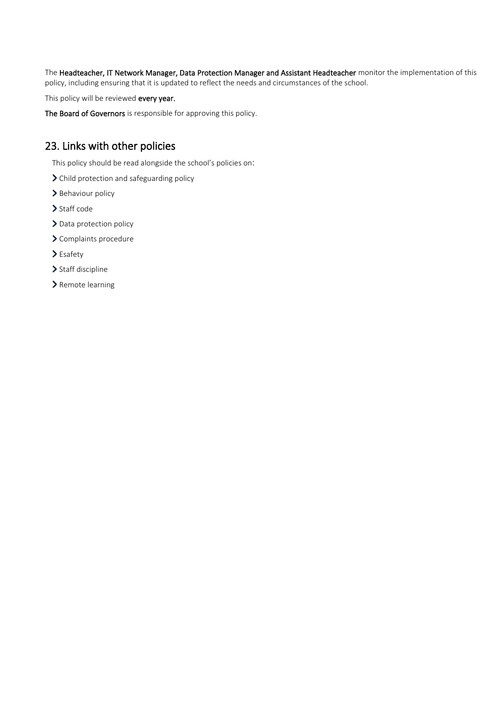The Headteacher, IT Network Manager, Data Protection Manager and Assistant Headteacher monitor the implementation of this policy, including ensuring that it is updated to reflect the needs and circumstances of the school.

This policy will be reviewed every year.

The Board of Governors is responsible for approving this policy.

# 23. Links with other policies

This policy should be read alongside the school's policies on:

- > Child protection and safeguarding policy
- > Behaviour policy
- > Staff code
- > Data protection policy
- > Complaints procedure
- > Esafety
- > Staff discipline
- > Remote learning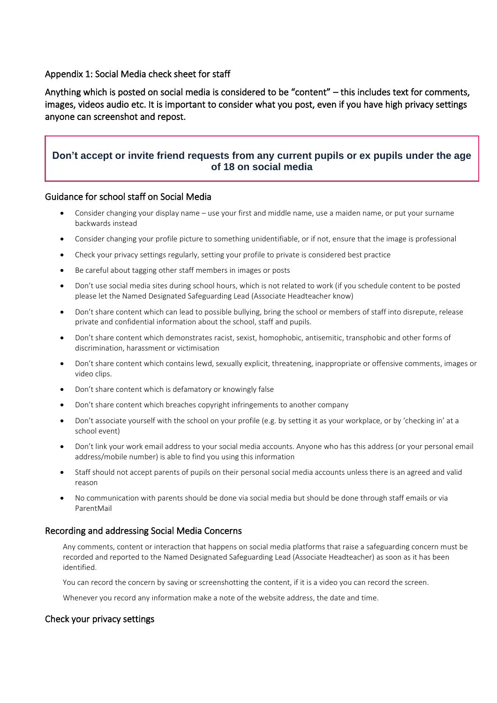#### Appendix 1: Social Media check sheet for staff

Anything which is posted on social media is considered to be "content" – this includes text for comments, images, videos audio etc. It is important to consider what you post, even if you have high privacy settings anyone can screenshot and repost.

## **Don't accept or invite friend requests from any current pupils or ex pupils under the age of 18 on social media**

#### Guidance for school staff on Social Media

- Consider changing your display name use your first and middle name, use a maiden name, or put your surname backwards instead
- Consider changing your profile picture to something unidentifiable, or if not, ensure that the image is professional
- Check your privacy settings regularly, setting your profile to private is considered best practice
- Be careful about tagging other staff members in images or posts
- Don't use social media sites during school hours, which is not related to work (if you schedule content to be posted please let the Named Designated Safeguarding Lead (Associate Headteacher know)
- Don't share content which can lead to possible bullying, bring the school or members of staff into disrepute, release private and confidential information about the school, staff and pupils.
- Don't share content which demonstrates racist, sexist, homophobic, antisemitic, transphobic and other forms of discrimination, harassment or victimisation
- Don't share content which contains lewd, sexually explicit, threatening, inappropriate or offensive comments, images or video clips.
- Don't share content which is defamatory or knowingly false
- Don't share content which breaches copyright infringements to another company
- Don't associate yourself with the school on your profile (e.g. by setting it as your workplace, or by 'checking in' at a school event)
- Don't link your work email address to your social media accounts. Anyone who has this address (or your personal email address/mobile number) is able to find you using this information
- Staff should not accept parents of pupils on their personal social media accounts unless there is an agreed and valid reason
- No communication with parents should be done via social media but should be done through staff emails or via ParentMail

#### Recording and addressing Social Media Concerns

Any comments, content or interaction that happens on social media platforms that raise a safeguarding concern must be recorded and reported to the Named Designated Safeguarding Lead (Associate Headteacher) as soon as it has been identified.

You can record the concern by saving or screenshotting the content, if it is a video you can record the screen.

Whenever you record any information make a note of the website address, the date and time.

#### Check your privacy settings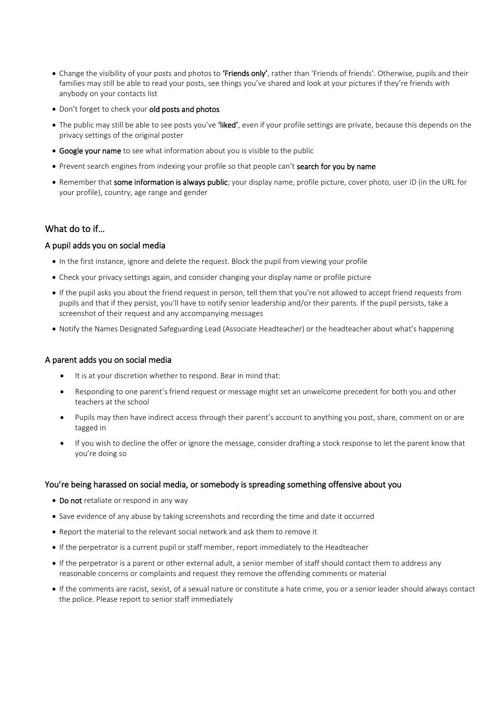- Change the visibility of your posts and photos to 'Friends only', rather than 'Friends of friends'. Otherwise, pupils and their families may still be able to read your posts, see things you've shared and look at your pictures if they're friends with anybody on your contacts list
- Don't forget to check your old posts and photos
- The public may still be able to see posts you've 'liked', even if your profile settings are private, because this depends on the privacy settings of the original poster
- Google your name to see what information about you is visible to the public
- Prevent search engines from indexing your profile so that people can't search for you by name
- Remember that some information is always public; your display name, profile picture, cover photo, user ID (in the URL for your profile), country, age range and gender

## What do to if…

#### A pupil adds you on social media

- In the first instance, ignore and delete the request. Block the pupil from viewing your profile
- Check your privacy settings again, and consider changing your display name or profile picture
- If the pupil asks you about the friend request in person, tell them that you're not allowed to accept friend requests from pupils and that if they persist, you'll have to notify senior leadership and/or their parents. If the pupil persists, take a screenshot of their request and any accompanying messages
- Notify the Names Designated Safeguarding Lead (Associate Headteacher) or the headteacher about what's happening

#### A parent adds you on social media

- It is at your discretion whether to respond. Bear in mind that:
- Responding to one parent's friend request or message might set an unwelcome precedent for both you and other teachers at the school
- Pupils may then have indirect access through their parent's account to anything you post, share, comment on or are tagged in
- If you wish to decline the offer or ignore the message, consider drafting a stock response to let the parent know that you're doing so

#### You're being harassed on social media, or somebody is spreading something offensive about you

- Do not retaliate or respond in any way
- Save evidence of any abuse by taking screenshots and recording the time and date it occurred
- Report the material to the relevant social network and ask them to remove it
- If the perpetrator is a current pupil or staff member, report immediately to the Headteacher
- If the perpetrator is a parent or other external adult, a senior member of staff should contact them to address any reasonable concerns or complaints and request they remove the offending comments or material
- If the comments are racist, sexist, of a sexual nature or constitute a hate crime, you or a senior leader should always contact the police. Please report to senior staff immediately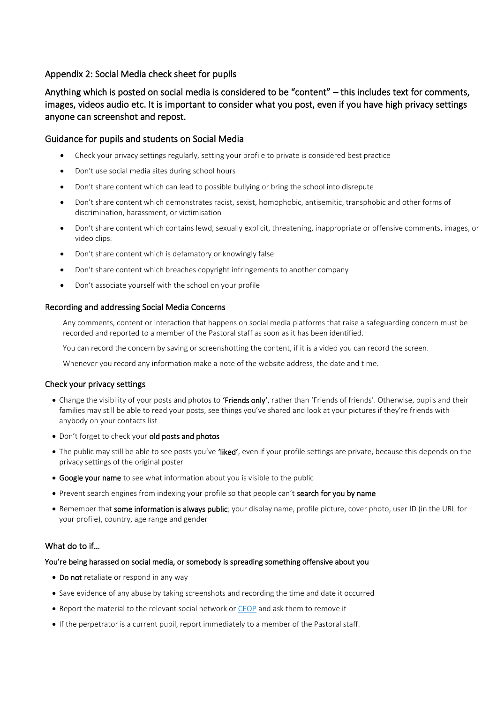## Appendix 2: Social Media check sheet for pupils

# Anything which is posted on social media is considered to be "content" – this includes text for comments, images, videos audio etc. It is important to consider what you post, even if you have high privacy settings anyone can screenshot and repost.

#### Guidance for pupils and students on Social Media

- Check your privacy settings regularly, setting your profile to private is considered best practice
- Don't use social media sites during school hours
- Don't share content which can lead to possible bullying or bring the school into disrepute
- Don't share content which demonstrates racist, sexist, homophobic, antisemitic, transphobic and other forms of discrimination, harassment, or victimisation
- Don't share content which contains lewd, sexually explicit, threatening, inappropriate or offensive comments, images, or video clips.
- Don't share content which is defamatory or knowingly false
- Don't share content which breaches copyright infringements to another company
- Don't associate yourself with the school on your profile

#### Recording and addressing Social Media Concerns

Any comments, content or interaction that happens on social media platforms that raise a safeguarding concern must be recorded and reported to a member of the Pastoral staff as soon as it has been identified.

You can record the concern by saving or screenshotting the content, if it is a video you can record the screen.

Whenever you record any information make a note of the website address, the date and time.

#### Check your privacy settings

- Change the visibility of your posts and photos to 'Friends only', rather than 'Friends of friends'. Otherwise, pupils and their families may still be able to read your posts, see things you've shared and look at your pictures if they're friends with anybody on your contacts list
- Don't forget to check your old posts and photos
- The public may still be able to see posts you've 'liked', even if your profile settings are private, because this depends on the privacy settings of the original poster
- Google your name to see what information about you is visible to the public
- Prevent search engines from indexing your profile so that people can't search for you by name
- Remember that some information is always public; your display name, profile picture, cover photo, user ID (in the URL for your profile), country, age range and gender

#### What do to if…

#### You're being harassed on social media, or somebody is spreading something offensive about you

- Do not retaliate or respond in any way
- Save evidence of any abuse by taking screenshots and recording the time and date it occurred
- Report the material to the relevant social network or [CEOP](https://www.ceop.police.uk/ceop-reporting/) and ask them to remove it
- If the perpetrator is a current pupil, report immediately to a member of the Pastoral staff.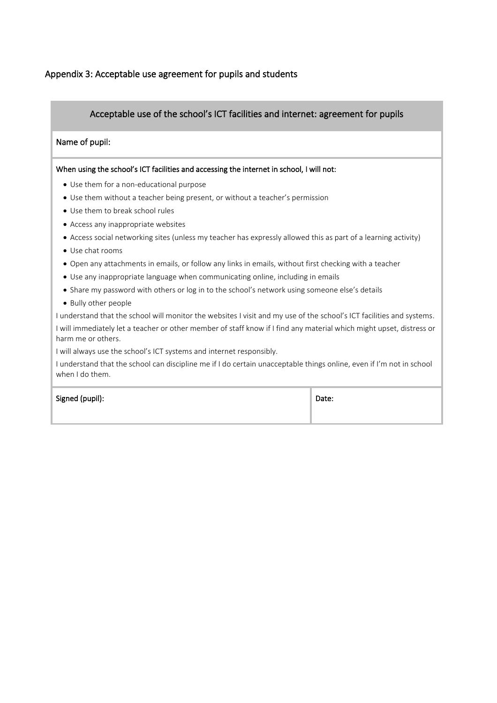## Appendix 3: Acceptable use agreement for pupils and students

## Acceptable use of the school's ICT facilities and internet: agreement for pupils

#### Name of pupil:

#### When using the school's ICT facilities and accessing the internet in school, I will not:

- Use them for a non-educational purpose
- Use them without a teacher being present, or without a teacher's permission
- Use them to break school rules
- Access any inappropriate websites
- Access social networking sites (unless my teacher has expressly allowed this as part of a learning activity)
- Use chat rooms
- Open any attachments in emails, or follow any links in emails, without first checking with a teacher
- Use any inappropriate language when communicating online, including in emails
- Share my password with others or log in to the school's network using someone else's details
- Bully other people

I understand that the school will monitor the websites I visit and my use of the school's ICT facilities and systems. I will immediately let a teacher or other member of staff know if I find any material which might upset, distress or harm me or others.

I will always use the school's ICT systems and internet responsibly.

I understand that the school can discipline me if I do certain unacceptable things online, even if I'm not in school when I do them.

Signed (pupil): Date: Note: Note: Note: Note: Note: Note: Note: Note: Note: Note: Note: Note: Note: Note: Note: Note: Note: Note: Note: Note: Note: Note: Note: Note: Note: Note: Note: Note: Note: Note: Note: Note: Note: No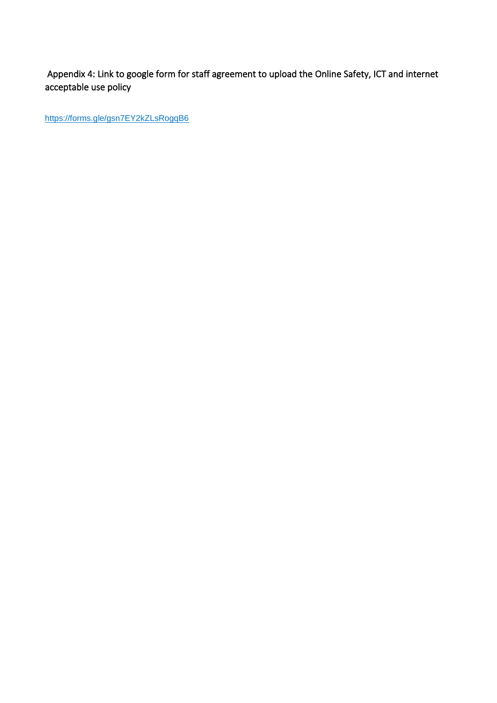Appendix 4: Link to google form for staff agreement to upload the Online Safety, ICT and internet acceptable use policy

<https://forms.gle/gsn7EY2kZLsRogqB6>